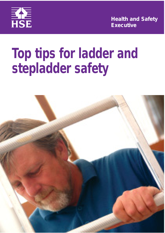

**Health and Safety Executive**

# **Top tips for ladder and stepladder safety**

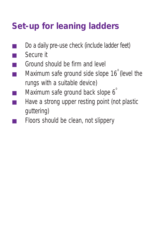## **Set-up for leaning ladders**

- Do a daily pre-use check (include ladder feet)
- Secure it
- Ground should be firm and level
- $\blacksquare$  Maximum safe ground side slope 16<sup>o</sup> (level the rungs with a suitable device)
- Maximum safe ground back slope  $6<sup>°</sup>$
- Have a strong upper resting point (not plastic guttering)
- Floors should be clean, not slippery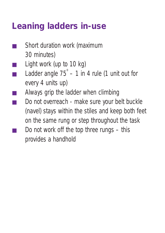#### **Leaning ladders in-use**

- Short duration work (maximum 30 minutes)
- Light work (up to  $10$  kg)
- Ladder angle  $75^\circ 1$  in 4 rule (1 unit out for every 4 units up)
- Always grip the ladder when climbing
- Do not overreach make sure your belt buckle (navel) stays within the stiles and keep both feet on the same rung or step throughout the task
- Do not work off the top three rungs  $-$  this provides a handhold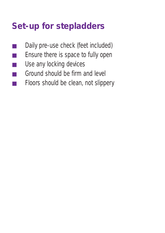### **Set-up for stepladders**

- Daily pre-use check (feet included)
- Ensure there is space to fully open
- Use any locking devices
- Ground should be firm and level
- Floors should be clean, not slippery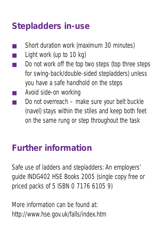### **Stepladders in-use**

- Short duration work (maximum 30 minutes)
- Light work (up to 10 kg)
- Do not work off the top two steps (top three steps for swing-back/double-sided stepladders) unless you have a safe handhold on the steps
- Avoid side-on working
- Do not overreach make sure your belt buckle (navel) stays within the stiles and keep both feet on the same rung or step throughout the task

#### **Further information**

*Safe use of ladders and stepladders: An employers' guide* INDG402 HSE Books 2005 (single copy free or priced packs of 5 ISBN 0 7176 6105 9)

More information can be found at: http://www.hse.gov.uk/falls/index.htm